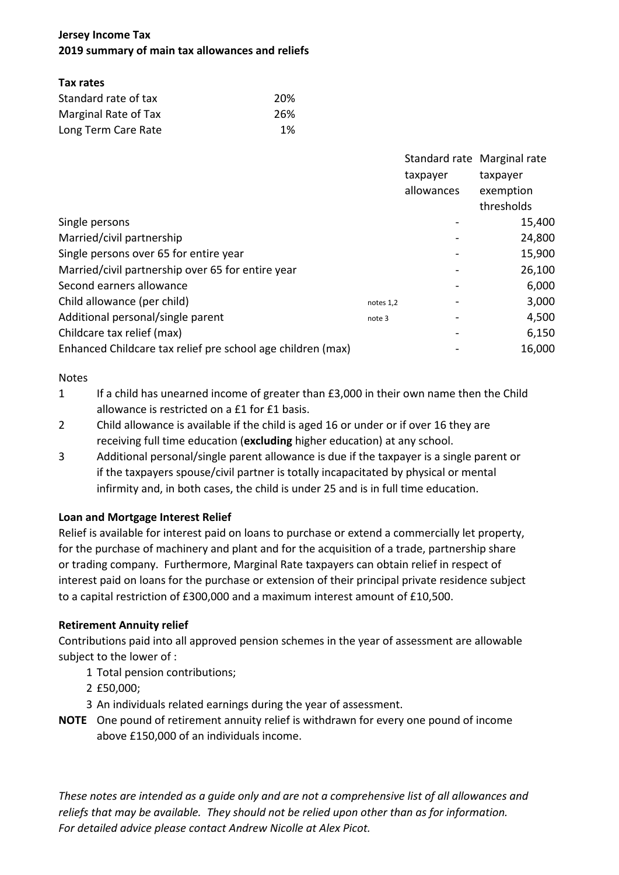# **Jersey Income Tax 2019 summary of main tax allowances and reliefs**

## **Tax rates**

| Standard rate of tax | 20% |  |  |
|----------------------|-----|--|--|
| Marginal Rate of Tax | 26% |  |  |
| Long Term Care Rate  | 1%  |  |  |

|                                                             |           |            | Standard rate Marginal rate |
|-------------------------------------------------------------|-----------|------------|-----------------------------|
|                                                             |           | taxpayer   | taxpayer                    |
|                                                             |           | allowances | exemption                   |
|                                                             |           |            | thresholds                  |
| Single persons                                              |           |            | 15,400                      |
| Married/civil partnership                                   |           |            | 24,800                      |
| Single persons over 65 for entire year                      |           |            | 15,900                      |
| Married/civil partnership over 65 for entire year           |           |            | 26,100                      |
| Second earners allowance                                    |           |            | 6,000                       |
| Child allowance (per child)                                 | notes 1,2 |            | 3,000                       |
| Additional personal/single parent                           | note 3    |            | 4,500                       |
| Childcare tax relief (max)                                  |           |            | 6,150                       |
| Enhanced Childcare tax relief pre school age children (max) |           |            | 16,000                      |

## Notes

- 1 If a child has unearned income of greater than £3,000 in their own name then the Child allowance is restricted on a £1 for £1 basis.
- 2 Child allowance is available if the child is aged 16 or under or if over 16 they are receiving full time education (**excluding** higher education) at any school.
- 3 Additional personal/single parent allowance is due if the taxpayer is a single parent or if the taxpayers spouse/civil partner is totally incapacitated by physical or mental infirmity and, in both cases, the child is under 25 and is in full time education.

## **Loan and Mortgage Interest Relief**

Relief is available for interest paid on loans to purchase or extend a commercially let property, for the purchase of machinery and plant and for the acquisition of a trade, partnership share or trading company. Furthermore, Marginal Rate taxpayers can obtain relief in respect of interest paid on loans for the purchase or extension of their principal private residence subject to a capital restriction of £300,000 and a maximum interest amount of £10,500.

## **Retirement Annuity relief**

Contributions paid into all approved pension schemes in the year of assessment are allowable subject to the lower of :

- 1 Total pension contributions;
- 2 £50,000;
- 3 An individuals related earnings during the year of assessment.
- **NOTE** One pound of retirement annuity relief is withdrawn for every one pound of income above £150,000 of an individuals income.

*These notes are intended as a guide only and are not a comprehensive list of all allowances and reliefs that may be available. They should not be relied upon other than as for information. For detailed advice please contact Andrew Nicolle at Alex Picot.*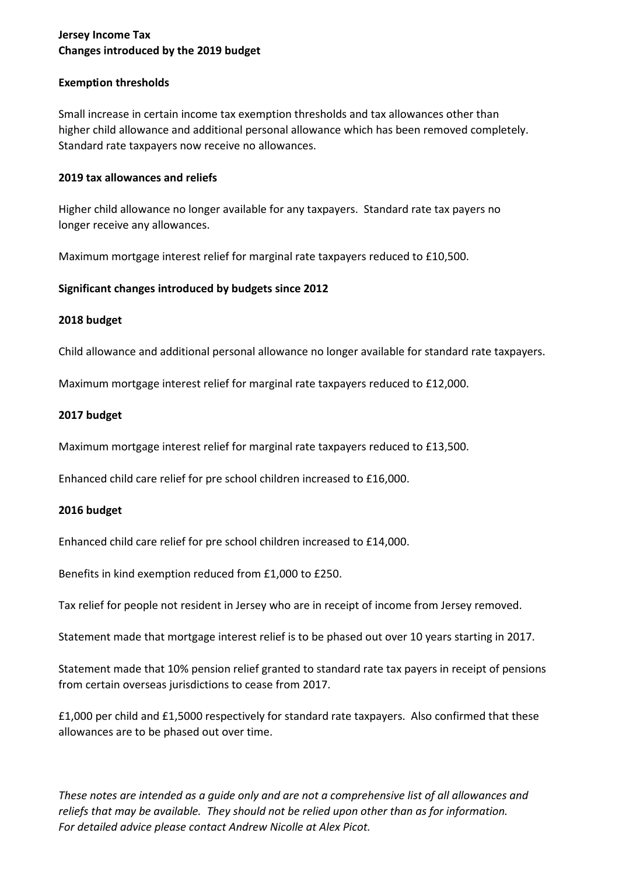## **Jersey Income Tax Changes introduced by the 2019 budget**

## **Exemption thresholds**

Small increase in certain income tax exemption thresholds and tax allowances other than higher child allowance and additional personal allowance which has been removed completely. Standard rate taxpayers now receive no allowances.

### **2019 tax allowances and reliefs**

Higher child allowance no longer available for any taxpayers. Standard rate tax payers no longer receive any allowances.

Maximum mortgage interest relief for marginal rate taxpayers reduced to £10,500.

## **Significant changes introduced by budgets since 2012**

## **2018 budget**

Child allowance and additional personal allowance no longer available for standard rate taxpayers.

Maximum mortgage interest relief for marginal rate taxpayers reduced to £12,000.

### **2017 budget**

Maximum mortgage interest relief for marginal rate taxpayers reduced to £13,500.

Enhanced child care relief for pre school children increased to £16,000.

### **2016 budget**

Enhanced child care relief for pre school children increased to £14,000.

Benefits in kind exemption reduced from £1,000 to £250.

Tax relief for people not resident in Jersey who are in receipt of income from Jersey removed.

Statement made that mortgage interest relief is to be phased out over 10 years starting in 2017.

Statement made that 10% pension relief granted to standard rate tax payers in receipt of pensions from certain overseas jurisdictions to cease from 2017.

£1,000 per child and £1,5000 respectively for standard rate taxpayers. Also confirmed that these allowances are to be phased out over time.

*These notes are intended as a guide only and are not a comprehensive list of all allowances and reliefs that may be available. They should not be relied upon other than as for information. For detailed advice please contact Andrew Nicolle at Alex Picot.*